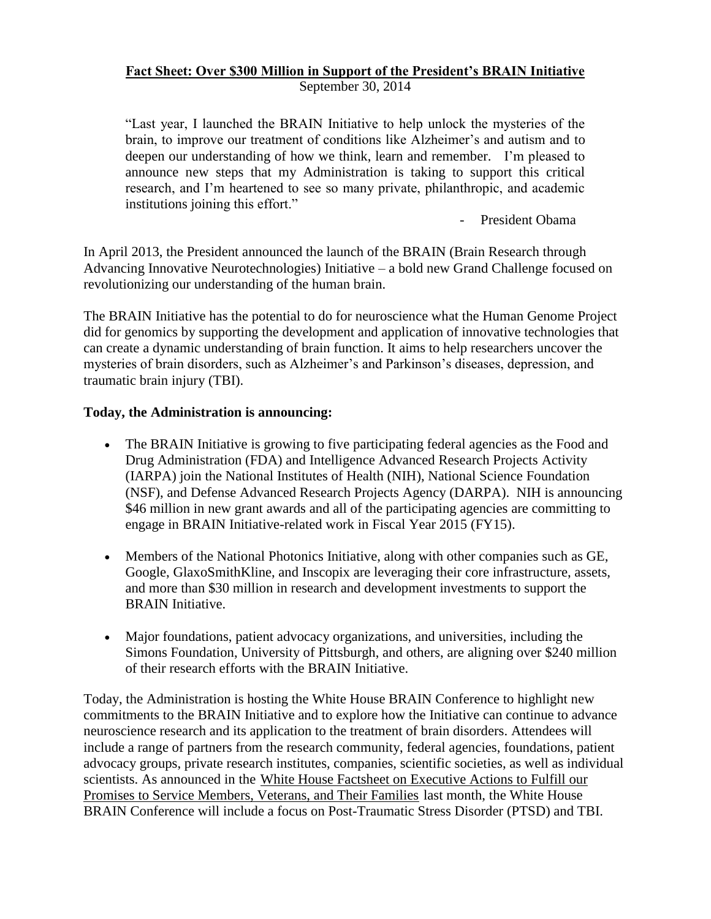# **Fact Sheet: Over \$300 Million in Support of the President's BRAIN Initiative**

September 30, 2014

"Last year, I launched the BRAIN Initiative to help unlock the mysteries of the brain, to improve our treatment of conditions like Alzheimer's and autism and to deepen our understanding of how we think, learn and remember. I'm pleased to announce new steps that my Administration is taking to support this critical research, and I'm heartened to see so many private, philanthropic, and academic institutions joining this effort."

- President Obama

In April 2013, the President announced the launch of the BRAIN (Brain Research through Advancing Innovative Neurotechnologies) Initiative – a bold new Grand Challenge focused on revolutionizing our understanding of the human brain.

The BRAIN Initiative has the potential to do for neuroscience what the Human Genome Project did for genomics by supporting the development and application of innovative technologies that can create a dynamic understanding of brain function. It aims to help researchers uncover the mysteries of brain disorders, such as Alzheimer's and Parkinson's diseases, depression, and traumatic brain injury (TBI).

## **Today, the Administration is announcing:**

- The BRAIN Initiative is growing to five participating federal agencies as the Food and Drug Administration (FDA) and Intelligence Advanced Research Projects Activity (IARPA) join the National Institutes of Health (NIH), National Science Foundation (NSF), and Defense Advanced Research Projects Agency (DARPA). NIH is announcing \$46 million in new grant awards and all of the participating agencies are committing to engage in BRAIN Initiative-related work in Fiscal Year 2015 (FY15).
- Members of the National Photonics Initiative, along with other companies such as GE, Google, GlaxoSmithKline, and Inscopix are leveraging their core infrastructure, assets, and more than \$30 million in research and development investments to support the BRAIN Initiative.
- Major foundations, patient advocacy organizations, and universities, including the Simons Foundation, University of Pittsburgh, and others, are aligning over \$240 million of their research efforts with the BRAIN Initiative.

Today, the Administration is hosting the White House BRAIN Conference to highlight new commitments to the BRAIN Initiative and to explore how the Initiative can continue to advance neuroscience research and its application to the treatment of brain disorders. Attendees will include a range of partners from the research community, federal agencies, foundations, patient advocacy groups, private research institutes, companies, scientific societies, as well as individual scientists. As announced in the [White House Factsheet on Executive Actions to Fulfill our](http://www.whitehouse.gov/the-press-office/2014/08/26/fact-sheet-president-obama-announces-new-executive-actions-fulfill-our-p)  [Promises to Service Members, Veterans, and Their Families](http://www.whitehouse.gov/the-press-office/2014/08/26/fact-sheet-president-obama-announces-new-executive-actions-fulfill-our-p) last month, the White House BRAIN Conference will include a focus on Post-Traumatic Stress Disorder (PTSD) and TBI.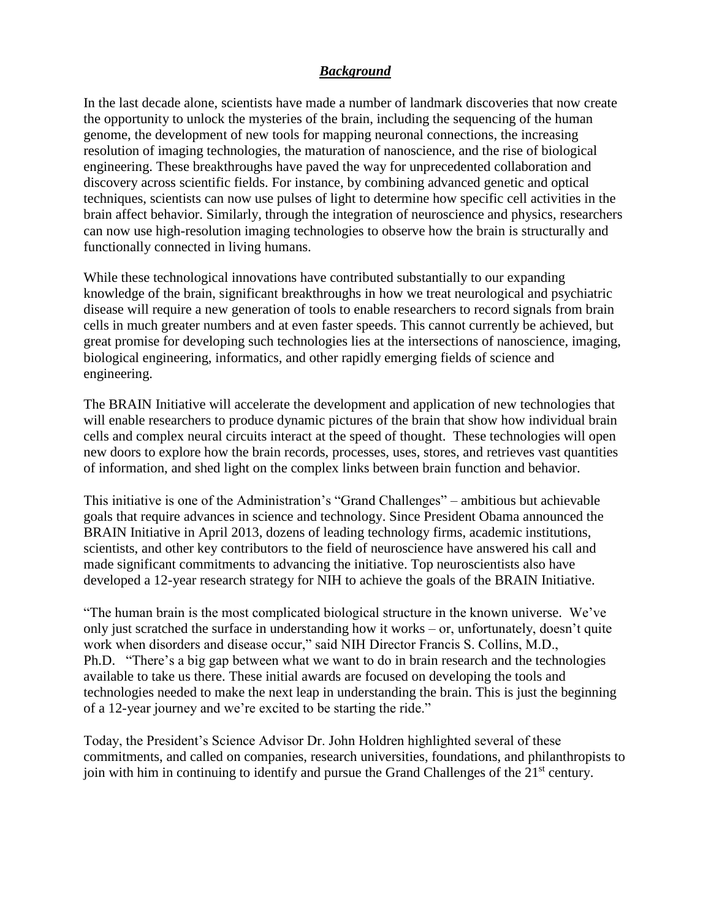#### *Background*

In the last decade alone, scientists have made a number of landmark discoveries that now create the opportunity to unlock the mysteries of the brain, including the sequencing of the human genome, the development of new tools for mapping neuronal connections, the increasing resolution of imaging technologies, the maturation of nanoscience, and the rise of biological engineering. These breakthroughs have paved the way for unprecedented collaboration and discovery across scientific fields. For instance, by combining advanced genetic and optical techniques, scientists can now use pulses of light to determine how specific cell activities in the brain affect behavior. Similarly, through the integration of neuroscience and physics, researchers can now use high-resolution imaging technologies to observe how the brain is structurally and functionally connected in living humans.

While these technological innovations have contributed substantially to our expanding knowledge of the brain, significant breakthroughs in how we treat neurological and psychiatric disease will require a new generation of tools to enable researchers to record signals from brain cells in much greater numbers and at even faster speeds. This cannot currently be achieved, but great promise for developing such technologies lies at the intersections of nanoscience, imaging, biological engineering, informatics, and other rapidly emerging fields of science and engineering.

The BRAIN Initiative will accelerate the development and application of new technologies that will enable researchers to produce dynamic pictures of the brain that show how individual brain cells and complex neural circuits interact at the speed of thought. These technologies will open new doors to explore how the brain records, processes, uses, stores, and retrieves vast quantities of information, and shed light on the complex links between brain function and behavior.

This initiative is one of the Administration's "Grand Challenges" – ambitious but achievable goals that require advances in science and technology. Since President Obama announced the BRAIN Initiative in April 2013, dozens of leading technology firms, academic institutions, scientists, and other key contributors to the field of neuroscience have answered his call and made significant commitments to advancing the initiative. Top neuroscientists also have developed a 12-year research strategy for NIH to achieve the goals of the BRAIN Initiative.

"The human brain is the most complicated biological structure in the known universe. We've only just scratched the surface in understanding how it works – or, unfortunately, doesn't quite work when disorders and disease occur," said NIH Director Francis S. Collins, M.D., Ph.D. "There's a big gap between what we want to do in brain research and the technologies available to take us there. These initial awards are focused on developing the tools and technologies needed to make the next leap in understanding the brain. This is just the beginning of a 12-year journey and we're excited to be starting the ride."

Today, the President's Science Advisor Dr. John Holdren highlighted several of these commitments, and called on companies, research universities, foundations, and philanthropists to join with him in continuing to identify and pursue the Grand Challenges of the  $21<sup>st</sup>$  century.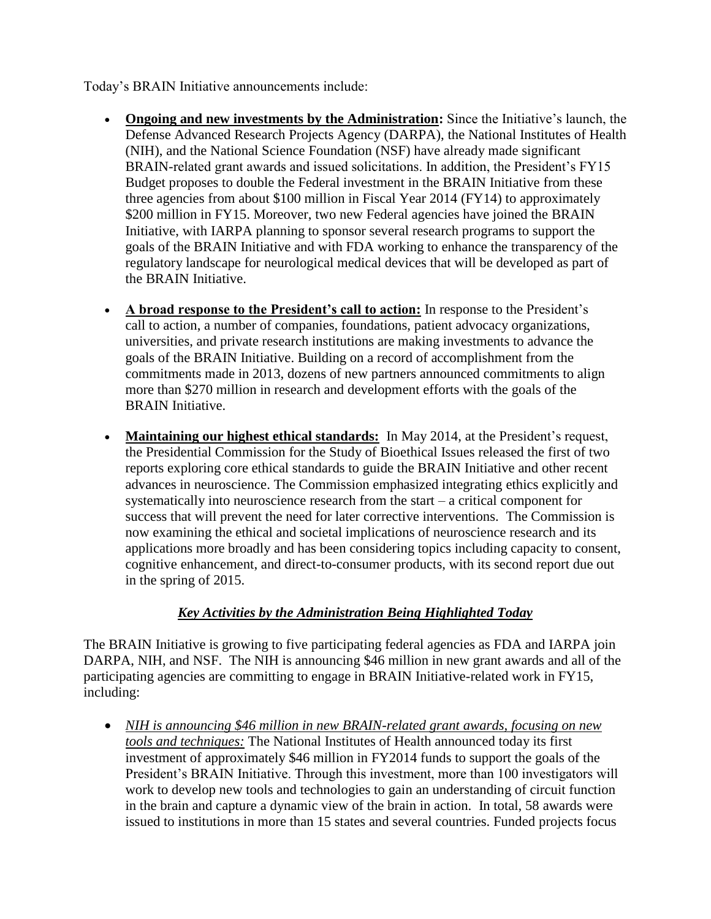Today's BRAIN Initiative announcements include:

- **Ongoing and new investments by the Administration:** Since the Initiative's launch, the Defense Advanced Research Projects Agency (DARPA), the National Institutes of Health (NIH), and the National Science Foundation (NSF) have already made significant BRAIN-related grant awards and issued solicitations. In addition, the President's FY15 Budget proposes to double the Federal investment in the BRAIN Initiative from these three agencies from about \$100 million in Fiscal Year 2014 (FY14) to approximately \$200 million in FY15. Moreover, two new Federal agencies have joined the BRAIN Initiative, with IARPA planning to sponsor several research programs to support the goals of the BRAIN Initiative and with FDA working to enhance the transparency of the regulatory landscape for neurological medical devices that will be developed as part of the BRAIN Initiative.
- **A broad response to the President's call to action:** In response to the President's call to action, a number of companies, foundations, patient advocacy organizations, universities, and private research institutions are making investments to advance the goals of the BRAIN Initiative. Building on a record of accomplishment from the commitments made in 2013, dozens of new partners announced commitments to align more than \$270 million in research and development efforts with the goals of the BRAIN Initiative.
- **Maintaining our highest ethical standards:** In May 2014, at the President's request, the Presidential Commission for the Study of Bioethical Issues released the first of two reports exploring core ethical standards to guide the BRAIN Initiative and other recent advances in neuroscience. The Commission emphasized integrating ethics explicitly and systematically into neuroscience research from the start – a critical component for success that will prevent the need for later corrective interventions. The Commission is now examining the ethical and societal implications of neuroscience research and its applications more broadly and has been considering topics including capacity to consent, cognitive enhancement, and direct-to-consumer products, with its second report due out in the spring of 2015.

# *Key Activities by the Administration Being Highlighted Today*

The BRAIN Initiative is growing to five participating federal agencies as FDA and IARPA join DARPA, NIH, and NSF. The NIH is announcing \$46 million in new grant awards and all of the participating agencies are committing to engage in BRAIN Initiative-related work in FY15, including:

 *NIH is announcing \$46 million in new BRAIN-related grant awards, focusing on new tools and techniques:* The National Institutes of Health announced today its first investment of approximately \$46 million in FY2014 funds to support the goals of the President's BRAIN Initiative. Through this investment, more than 100 investigators will work to develop new tools and technologies to gain an understanding of circuit function in the brain and capture a dynamic view of the brain in action. In total, 58 awards were issued to institutions in more than 15 states and several countries. Funded projects focus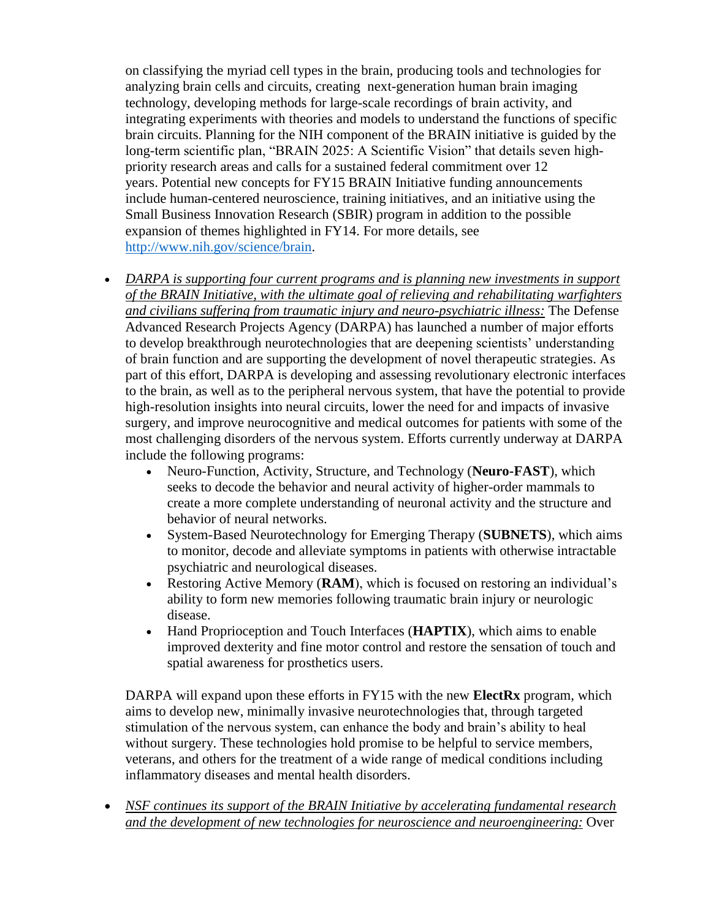on classifying the myriad cell types in the brain, producing tools and technologies for analyzing brain cells and circuits, creating next-generation human brain imaging technology, developing methods for large-scale recordings of brain activity, and integrating experiments with theories and models to understand the functions of specific brain circuits. Planning for the NIH component of the BRAIN initiative is guided by the long-term scientific plan, "BRAIN 2025: A Scientific Vision" that details seven highpriority research areas and calls for a sustained federal commitment over 12 years. Potential new concepts for FY15 BRAIN Initiative funding announcements include human-centered neuroscience, training initiatives, and an initiative using the Small Business Innovation Research (SBIR) program in addition to the possible expansion of themes highlighted in FY14. For more details, see [http://www.nih.gov/science/brain.](http://www.nih.gov/science/brain)

- DARPA is supporting four current programs and is planning new investments in support *of the BRAIN Initiative, with the ultimate goal of relieving and rehabilitating warfighters and civilians suffering from traumatic injury and neuro-psychiatric illness:* The Defense Advanced Research Projects Agency (DARPA) has launched a number of major efforts to develop breakthrough neurotechnologies that are deepening scientists' understanding of brain function and are supporting the development of novel therapeutic strategies. As part of this effort, DARPA is developing and assessing revolutionary electronic interfaces to the brain, as well as to the peripheral nervous system, that have the potential to provide high-resolution insights into neural circuits, lower the need for and impacts of invasive surgery, and improve neurocognitive and medical outcomes for patients with some of the most challenging disorders of the nervous system. Efforts currently underway at DARPA include the following programs:
	- Neuro-Function, Activity, Structure, and Technology (**Neuro-FAST**), which seeks to decode the behavior and neural activity of higher-order mammals to create a more complete understanding of neuronal activity and the structure and behavior of neural networks.
	- System-Based Neurotechnology for Emerging Therapy (**SUBNETS**), which aims to monitor, decode and alleviate symptoms in patients with otherwise intractable psychiatric and neurological diseases.
	- Restoring Active Memory (**RAM**), which is focused on restoring an individual's ability to form new memories following traumatic brain injury or neurologic disease.
	- Hand Proprioception and Touch Interfaces (**HAPTIX**), which aims to enable improved dexterity and fine motor control and restore the sensation of touch and spatial awareness for prosthetics users.

DARPA will expand upon these efforts in FY15 with the new **ElectRx** program, which aims to develop new, minimally invasive neurotechnologies that, through targeted stimulation of the nervous system, can enhance the body and brain's ability to heal without surgery. These technologies hold promise to be helpful to service members, veterans, and others for the treatment of a wide range of medical conditions including inflammatory diseases and mental health disorders.

 *NSF continues its support of the BRAIN Initiative by accelerating fundamental research and the development of new technologies for neuroscience and neuroengineering:* Over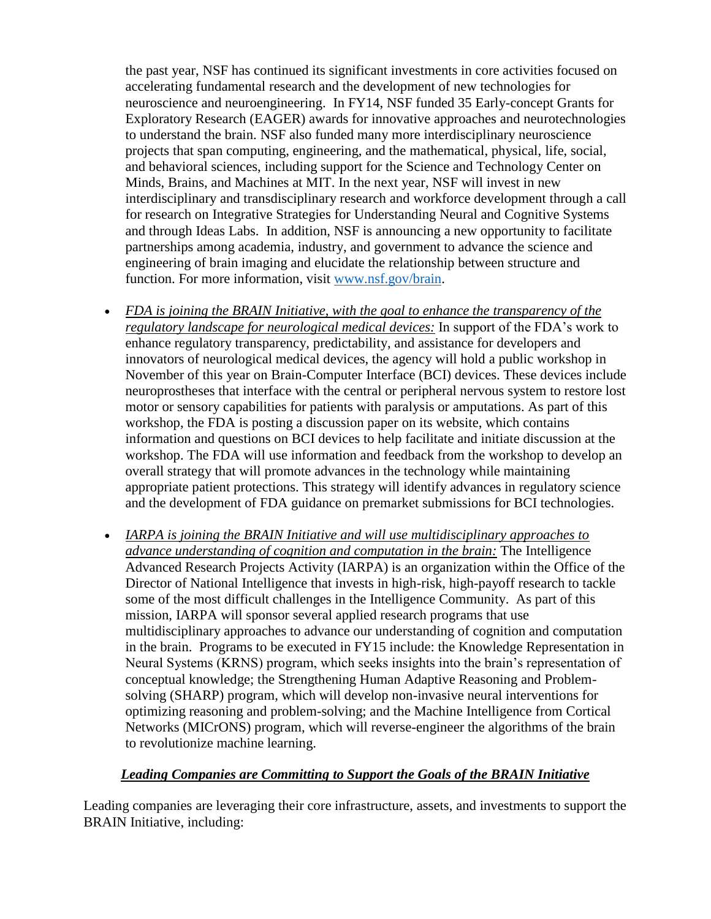the past year, NSF has continued its significant investments in core activities focused on accelerating fundamental research and the development of new technologies for neuroscience and neuroengineering. In FY14, NSF funded 35 Early-concept Grants for Exploratory Research (EAGER) awards for innovative approaches and neurotechnologies to understand the brain. NSF also funded many more interdisciplinary neuroscience projects that span computing, engineering, and the mathematical, physical, life, social, and behavioral sciences, including support for the Science and Technology Center on Minds, Brains, and Machines at MIT. In the next year, NSF will invest in new interdisciplinary and transdisciplinary research and workforce development through a call for research on Integrative Strategies for Understanding Neural and Cognitive Systems and through Ideas Labs. In addition, NSF is announcing a new opportunity to facilitate partnerships among academia, industry, and government to advance the science and engineering of brain imaging and elucidate the relationship between structure and function. For more information, visit [www.nsf.gov/brain.](http://www.nsf.gov/brain)

- FDA is joining the BRAIN Initiative, with the goal to enhance the *transparency* of the *regulatory landscape for neurological medical devices:* In support of the FDA's work to enhance regulatory transparency, predictability, and assistance for developers and innovators of neurological medical devices, the agency will hold a public workshop in November of this year on Brain-Computer Interface (BCI) devices. These devices include neuroprostheses that interface with the central or peripheral nervous system to restore lost motor or sensory capabilities for patients with paralysis or amputations. As part of this workshop, the FDA is posting a discussion paper on its website, which contains information and questions on BCI devices to help facilitate and initiate discussion at the workshop. The FDA will use information and feedback from the workshop to develop an overall strategy that will promote advances in the technology while maintaining appropriate patient protections. This strategy will identify advances in regulatory science and the development of FDA guidance on premarket submissions for BCI technologies.
- *IARPA is joining the BRAIN Initiative and will use multidisciplinary approaches to advance understanding of cognition and computation in the brain:* The Intelligence Advanced Research Projects Activity (IARPA) is an organization within the Office of the Director of National Intelligence that invests in high-risk, high-payoff research to tackle some of the most difficult challenges in the Intelligence Community. As part of this mission, IARPA will sponsor several applied research programs that use multidisciplinary approaches to advance our understanding of cognition and computation in the brain. Programs to be executed in FY15 include: the Knowledge Representation in Neural Systems (KRNS) program, which seeks insights into the brain's representation of conceptual knowledge; the Strengthening Human Adaptive Reasoning and Problemsolving (SHARP) program, which will develop non-invasive neural interventions for optimizing reasoning and problem-solving; and the Machine Intelligence from Cortical Networks (MICrONS) program, which will reverse-engineer the algorithms of the brain to revolutionize machine learning.

## *Leading Companies are Committing to Support the Goals of the BRAIN Initiative*

Leading companies are leveraging their core infrastructure, assets, and investments to support the BRAIN Initiative, including: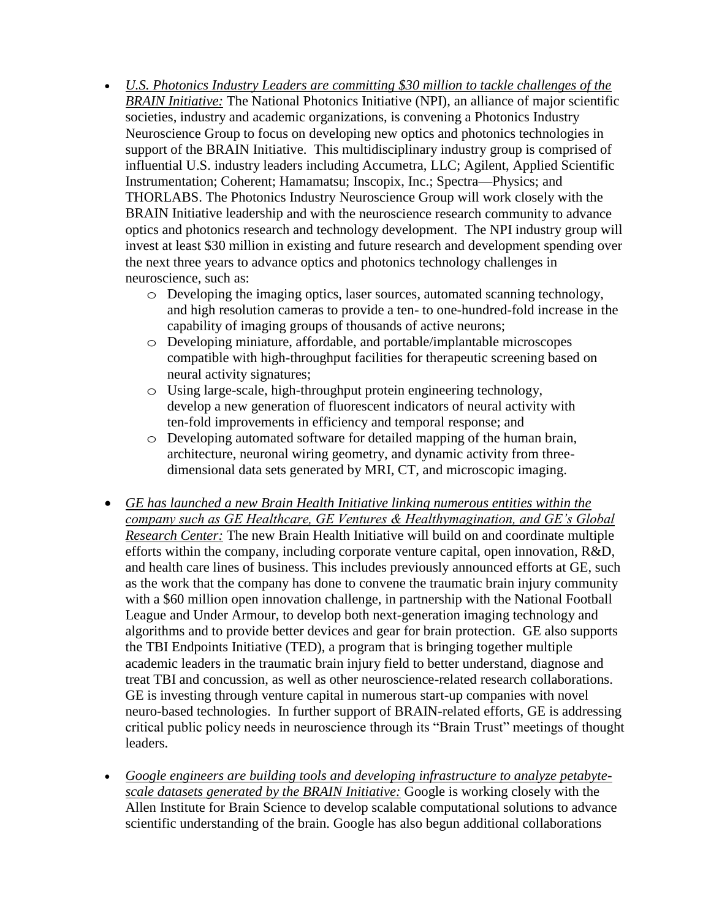- *U.S. Photonics Industry Leaders are committing \$30 million to tackle challenges of the BRAIN Initiative:* The National Photonics Initiative (NPI), an alliance of major scientific societies, industry and academic organizations, is convening a Photonics Industry Neuroscience Group to focus on developing new optics and photonics technologies in support of the BRAIN Initiative. This multidisciplinary industry group is comprised of influential U.S. industry leaders including Accumetra, LLC; Agilent, Applied Scientific Instrumentation; Coherent; Hamamatsu; Inscopix, Inc.; Spectra—Physics; and THORLABS. The Photonics Industry Neuroscience Group will work closely with the BRAIN Initiative leadership and with the neuroscience research community to advance optics and photonics research and technology development. The NPI industry group will invest at least \$30 million in existing and future research and development spending over the next three years to advance optics and photonics technology challenges in neuroscience, such as:
	- o Developing the imaging optics, laser sources, automated scanning technology, and high resolution cameras to provide a ten- to one-hundred-fold increase in the capability of imaging groups of thousands of active neurons;
	- o Developing miniature, affordable, and portable/implantable microscopes compatible with high-throughput facilities for therapeutic screening based on neural activity signatures;
	- o Using large-scale, high-throughput protein engineering technology, develop a new generation of fluorescent indicators of neural activity with ten-fold improvements in efficiency and temporal response; and
	- o Developing automated software for detailed mapping of the human brain, architecture, neuronal wiring geometry, and dynamic activity from threedimensional data sets generated by MRI, CT, and microscopic imaging.
- *GE has launched a new Brain Health Initiative linking numerous entities within the company such as GE Healthcare, GE Ventures & Healthymagination, and GE's Global Research Center:* The new Brain Health Initiative will build on and coordinate multiple efforts within the company, including corporate venture capital, open innovation, R&D, and health care lines of business. This includes previously announced efforts at GE, such as the work that the company has done to convene the traumatic brain injury community with a \$60 million open innovation challenge, in partnership with the National Football League and Under Armour, to develop both next-generation imaging technology and algorithms and to provide better devices and gear for brain protection. GE also supports the TBI Endpoints Initiative (TED), a program that is bringing together multiple academic leaders in the traumatic brain injury field to better understand, diagnose and treat TBI and concussion, as well as other neuroscience-related research collaborations. GE is investing through venture capital in numerous start-up companies with novel neuro-based technologies. In further support of BRAIN-related efforts, GE is addressing critical public policy needs in neuroscience through its "Brain Trust" meetings of thought leaders.
- *Google engineers are building tools and developing infrastructure to analyze petabytescale datasets generated by the BRAIN Initiative:* Google is working closely with the Allen Institute for Brain Science to develop scalable computational solutions to advance scientific understanding of the brain. Google has also begun additional collaborations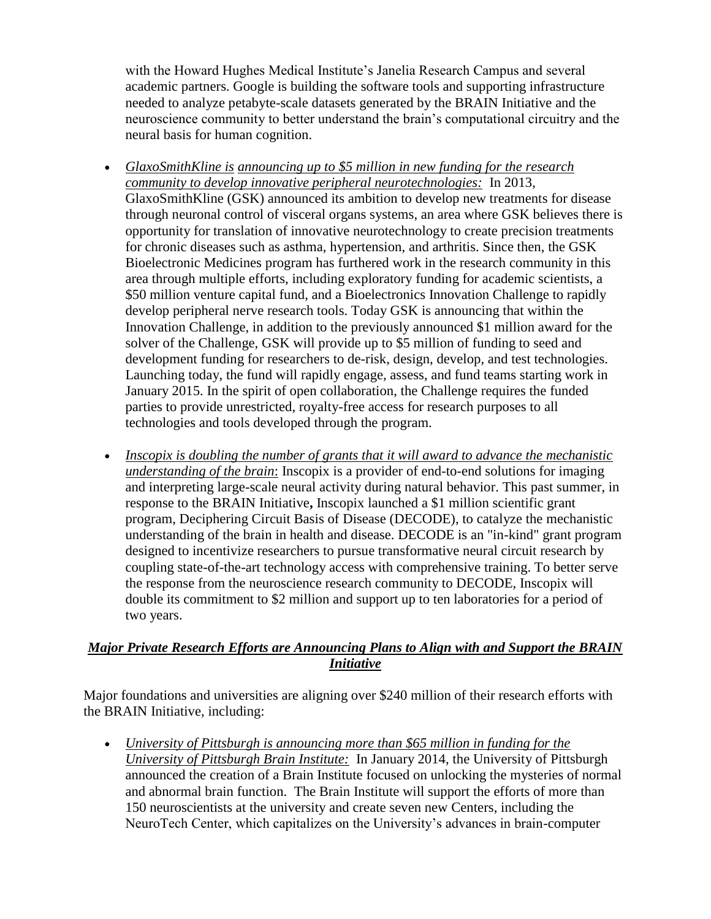with the Howard Hughes Medical Institute's Janelia Research Campus and several academic partners. Google is building the software tools and supporting infrastructure needed to analyze petabyte-scale datasets generated by the BRAIN Initiative and the neuroscience community to better understand the brain's computational circuitry and the neural basis for human cognition.

- *GlaxoSmithKline is announcing up to \$5 million in new funding for the research community to develop innovative peripheral neurotechnologies:* In 2013, GlaxoSmithKline (GSK) announced its ambition to develop new treatments for disease through neuronal control of visceral organs systems, an area where GSK believes there is opportunity for translation of innovative neurotechnology to create precision treatments for chronic diseases such as asthma, hypertension, and arthritis. Since then, the GSK Bioelectronic Medicines program has furthered work in the research community in this area through multiple efforts, including exploratory funding for academic scientists, a \$50 million venture capital fund, and a Bioelectronics Innovation Challenge to rapidly develop peripheral nerve research tools. Today GSK is announcing that within the Innovation Challenge, in addition to the previously announced \$1 million award for the solver of the Challenge, GSK will provide up to \$5 million of funding to seed and development funding for researchers to de-risk, design, develop, and test technologies. Launching today, the fund will rapidly engage, assess, and fund teams starting work in January 2015. In the spirit of open collaboration, the Challenge requires the funded parties to provide unrestricted, royalty-free access for research purposes to all technologies and tools developed through the program.
- *Inscopix is doubling the number of grants that it will award to advance the mechanistic understanding of the brain*: Inscopix is a provider of end-to-end solutions for imaging and interpreting large-scale neural activity during natural behavior. This past summer, in response to the BRAIN Initiative**,** Inscopix launched a \$1 million scientific grant program, Deciphering Circuit Basis of Disease (DECODE), to catalyze the mechanistic understanding of the brain in health and disease. DECODE is an "in-kind" grant program designed to incentivize researchers to pursue transformative neural circuit research by coupling state-of-the-art technology access with comprehensive training. To better serve the response from the neuroscience research community to DECODE, Inscopix will double its commitment to \$2 million and support up to ten laboratories for a period of two years.

# *Major Private Research Efforts are Announcing Plans to Align with and Support the BRAIN Initiative*

Major foundations and universities are aligning over \$240 million of their research efforts with the BRAIN Initiative, including:

 *University of Pittsburgh is announcing more than \$65 million in funding for the University of Pittsburgh Brain Institute:* In January 2014, the University of Pittsburgh announced the creation of a Brain Institute focused on unlocking the mysteries of normal and abnormal brain function. The Brain Institute will support the efforts of more than 150 neuroscientists at the university and create seven new Centers, including the NeuroTech Center, which capitalizes on the University's advances in brain-computer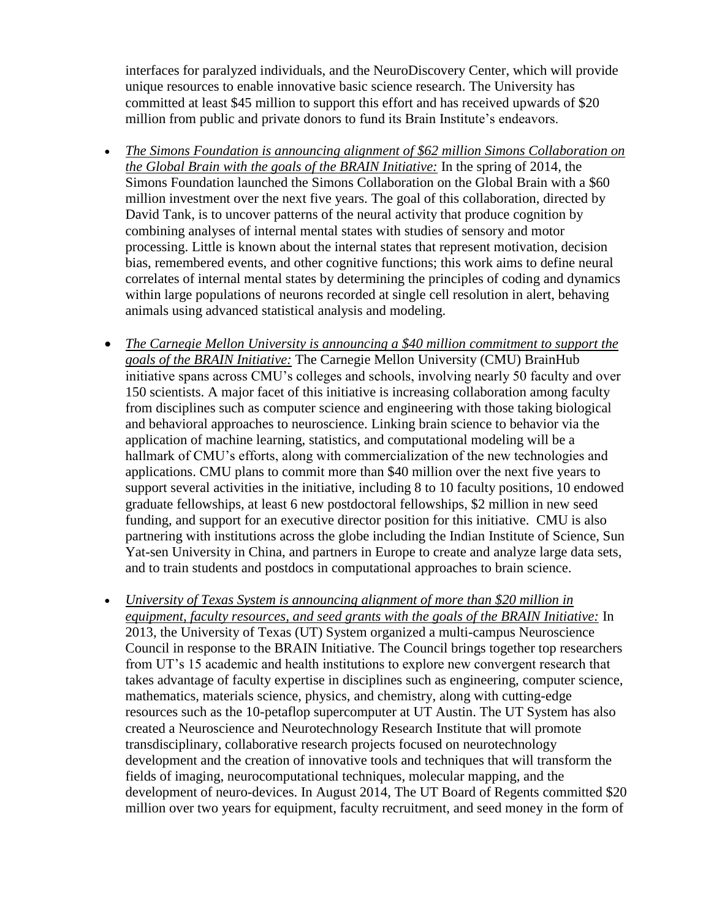interfaces for paralyzed individuals, and the NeuroDiscovery Center, which will provide unique resources to enable innovative basic science research. The University has committed at least \$45 million to support this effort and has received upwards of \$20 million from public and private donors to fund its Brain Institute's endeavors.

- *The Simons Foundation is announcing alignment of \$62 million Simons Collaboration on the Global Brain with the goals of the BRAIN Initiative:* In the spring of 2014, the Simons Foundation launched the Simons Collaboration on the Global Brain with a \$60 million investment over the next five years. The goal of this collaboration, directed by David Tank, is to uncover patterns of the neural activity that produce cognition by combining analyses of internal mental states with studies of sensory and motor processing. Little is known about the internal states that represent motivation, decision bias, remembered events, and other cognitive functions; this work aims to define neural correlates of internal mental states by determining the principles of coding and dynamics within large populations of neurons recorded at single cell resolution in alert, behaving animals using advanced statistical analysis and modeling.
- *The Carnegie Mellon University is announcing a \$40 million commitment to support the goals of the BRAIN Initiative:* The Carnegie Mellon University (CMU) BrainHub initiative spans across CMU's colleges and schools, involving nearly 50 faculty and over 150 scientists. A major facet of this initiative is increasing collaboration among faculty from disciplines such as computer science and engineering with those taking biological and behavioral approaches to neuroscience. Linking brain science to behavior via the application of machine learning, statistics, and computational modeling will be a hallmark of CMU's efforts, along with commercialization of the new technologies and applications. CMU plans to commit more than \$40 million over the next five years to support several activities in the initiative, including 8 to 10 faculty positions, 10 endowed graduate fellowships, at least 6 new postdoctoral fellowships, \$2 million in new seed funding, and support for an executive director position for this initiative. CMU is also partnering with institutions across the globe including the Indian Institute of Science, Sun Yat-sen University in China, and partners in Europe to create and analyze large data sets, and to train students and postdocs in computational approaches to brain science.
- *University of Texas System is announcing alignment of more than \$20 million in equipment, faculty resources, and seed grants with the goals of the BRAIN Initiative:* In 2013, the University of Texas (UT) System organized a multi-campus Neuroscience Council in response to the BRAIN Initiative. The Council brings together top researchers from UT's 15 academic and health institutions to explore new convergent research that takes advantage of faculty expertise in disciplines such as engineering, computer science, mathematics, materials science, physics, and chemistry, along with cutting-edge resources such as the 10-petaflop supercomputer at UT Austin. The UT System has also created a Neuroscience and Neurotechnology Research Institute that will promote transdisciplinary, collaborative research projects focused on neurotechnology development and the creation of innovative tools and techniques that will transform the fields of imaging, neurocomputational techniques, molecular mapping, and the development of neuro-devices. In August 2014, The UT Board of Regents committed \$20 million over two years for equipment, faculty recruitment, and seed money in the form of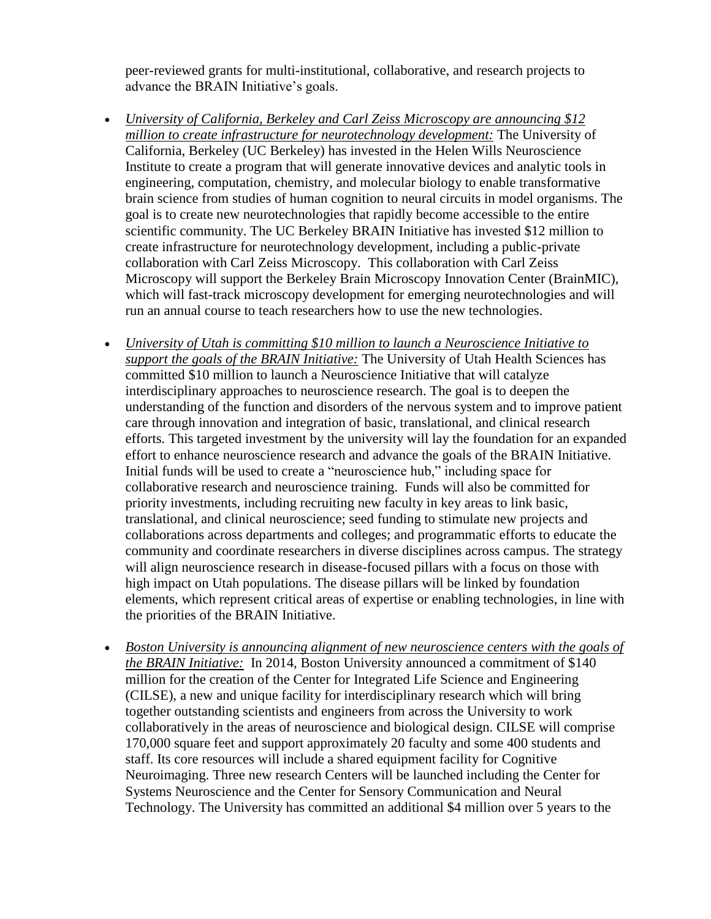peer-reviewed grants for multi-institutional, collaborative, and research projects to advance the BRAIN Initiative's goals.

- *University of California, Berkeley and Carl Zeiss Microscopy are announcing \$12 million to create infrastructure for neurotechnology development:* The University of California, Berkeley (UC Berkeley) has invested in the Helen Wills Neuroscience Institute to create a program that will generate innovative devices and analytic tools in engineering, computation, chemistry, and molecular biology to enable transformative brain science from studies of human cognition to neural circuits in model organisms. The goal is to create new neurotechnologies that rapidly become accessible to the entire scientific community. The UC Berkeley BRAIN Initiative has invested \$12 million to create infrastructure for neurotechnology development, including a public-private collaboration with Carl Zeiss Microscopy. This collaboration with Carl Zeiss Microscopy will support the Berkeley Brain Microscopy Innovation Center (BrainMIC), which will fast-track microscopy development for emerging neurotechnologies and will run an annual course to teach researchers how to use the new technologies.
- *University of Utah is committing \$10 million to launch a Neuroscience Initiative to support the goals of the BRAIN Initiative:* The University of Utah Health Sciences has committed \$10 million to launch a Neuroscience Initiative that will catalyze interdisciplinary approaches to neuroscience research. The goal is to deepen the understanding of the function and disorders of the nervous system and to improve patient care through innovation and integration of basic, translational, and clinical research efforts. This targeted investment by the university will lay the foundation for an expanded effort to enhance neuroscience research and advance the goals of the BRAIN Initiative. Initial funds will be used to create a "neuroscience hub," including space for collaborative research and neuroscience training. Funds will also be committed for priority investments, including recruiting new faculty in key areas to link basic, translational, and clinical neuroscience; seed funding to stimulate new projects and collaborations across departments and colleges; and programmatic efforts to educate the community and coordinate researchers in diverse disciplines across campus. The strategy will align neuroscience research in disease-focused pillars with a focus on those with high impact on Utah populations. The disease pillars will be linked by foundation elements, which represent critical areas of expertise or enabling technologies, in line with the priorities of the BRAIN Initiative.
- *Boston University is announcing alignment of new neuroscience centers with the goals of the BRAIN Initiative:* In 2014, Boston University announced a commitment of \$140 million for the creation of the Center for Integrated Life Science and Engineering (CILSE), a new and unique facility for interdisciplinary research which will bring together outstanding scientists and engineers from across the University to work collaboratively in the areas of neuroscience and biological design. CILSE will comprise 170,000 square feet and support approximately 20 faculty and some 400 students and staff. Its core resources will include a shared equipment facility for Cognitive Neuroimaging. Three new research Centers will be launched including the Center for Systems Neuroscience and the Center for Sensory Communication and Neural Technology. The University has committed an additional \$4 million over 5 years to the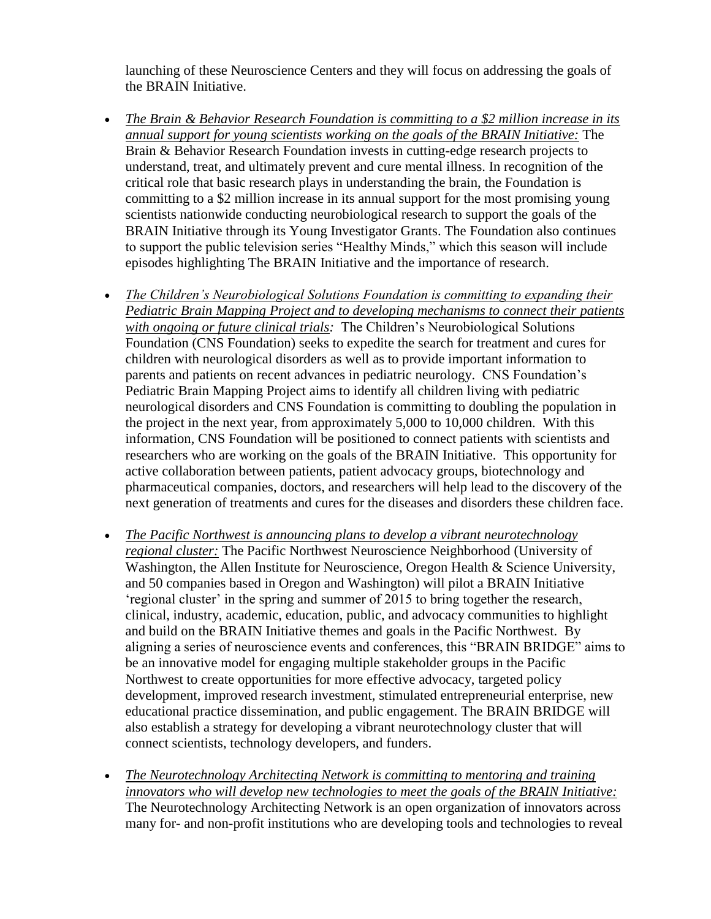launching of these Neuroscience Centers and they will focus on addressing the goals of the BRAIN Initiative.

- *The Brain & Behavior Research Foundation is committing to a \$2 million increase in its annual support for young scientists working on the goals of the BRAIN Initiative:* The Brain & Behavior Research Foundation invests in cutting-edge research projects to understand, treat, and ultimately prevent and cure mental illness. In recognition of the critical role that basic research plays in understanding the brain, the Foundation is committing to a \$2 million increase in its annual support for the most promising young scientists nationwide conducting neurobiological research to support the goals of the BRAIN Initiative through its Young Investigator Grants. The Foundation also continues to support the public television series "Healthy Minds," which this season will include episodes highlighting The BRAIN Initiative and the importance of research.
- *The Children's Neurobiological Solutions Foundation is committing to expanding their Pediatric Brain Mapping Project and to developing mechanisms to connect their patients with ongoing or future clinical trials:* The Children's Neurobiological Solutions Foundation (CNS Foundation) seeks to expedite the search for treatment and cures for children with neurological disorders as well as to provide important information to parents and patients on recent advances in pediatric neurology. CNS Foundation's Pediatric Brain Mapping Project aims to identify all children living with pediatric neurological disorders and CNS Foundation is committing to doubling the population in the project in the next year, from approximately 5,000 to 10,000 children. With this information, CNS Foundation will be positioned to connect patients with scientists and researchers who are working on the goals of the BRAIN Initiative. This opportunity for active collaboration between patients, patient advocacy groups, biotechnology and pharmaceutical companies, doctors, and researchers will help lead to the discovery of the next generation of treatments and cures for the diseases and disorders these children face.
- *The Pacific Northwest is announcing plans to develop a vibrant neurotechnology regional cluster:* The Pacific Northwest Neuroscience Neighborhood (University of Washington, the Allen Institute for Neuroscience, Oregon Health & Science University, and 50 companies based in Oregon and Washington) will pilot a BRAIN Initiative 'regional cluster' in the spring and summer of 2015 to bring together the research, clinical, industry, academic, education, public, and advocacy communities to highlight and build on the BRAIN Initiative themes and goals in the Pacific Northwest. By aligning a series of neuroscience events and conferences, this "BRAIN BRIDGE" aims to be an innovative model for engaging multiple stakeholder groups in the Pacific Northwest to create opportunities for more effective advocacy, targeted policy development, improved research investment, stimulated entrepreneurial enterprise, new educational practice dissemination, and public engagement. The BRAIN BRIDGE will also establish a strategy for developing a vibrant neurotechnology cluster that will connect scientists, technology developers, and funders.
- *The Neurotechnology Architecting Network is committing to mentoring and training innovators who will develop new technologies to meet the goals of the BRAIN Initiative:* The Neurotechnology Architecting Network is an open organization of innovators across many for- and non-profit institutions who are developing tools and technologies to reveal